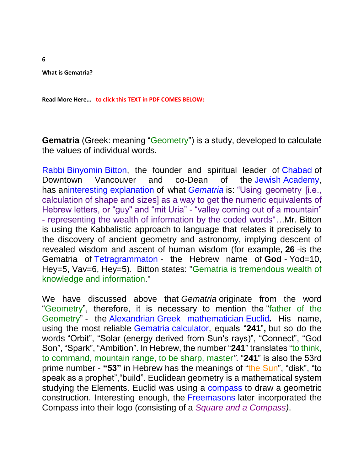**What is Gematria?**

**Read More Here… to click this TEXT in PDF COMES BELOW:**

**Gematria** (Greek: meaning "Geometry") is a study, developed to calculate the values of individual words.

[Rabbi](http://www.chabadcitycentre.com/templates/section_cdo/aid/1282495/jewish/Jewish-Academy.htm) [Binyomin](http://www.chabadcitycentre.com/templates/section_cdo/aid/1282495/jewish/Jewish-Academy.htm) [Bitton,](http://www.chabadcitycentre.com/templates/section_cdo/aid/1282495/jewish/Jewish-Academy.htm) the founder and spiritual leader of [Chabad](http://www.chabad.org/multimedia/media_cdo/aid/2422410/jewish/Discovering-Talmudic-Principles.htm) of Downtown Vancouver and co-Dean of the [Jewish](https://www.youtube.com/user/ChabadDT) [Academy,](https://www.youtube.com/user/ChabadDT) has a[ninteresting](http://www.youtube.com/watch?v=Shm4efnZp6A&t=1m48s) [explanation](http://www.youtube.com/watch?v=Shm4efnZp6A&t=1m48s) of what *[Gematria](http://www.youtube.com/watch?v=Shm4efnZp6A&t=1m48s)* is: "Using geometry [i.e., calculation of shape and sizes] as a way to get the numeric equivalents of Hebrew letters, or "guy" and "mit Uria" - "valley coming out of a mountain" - representing the wealth of information by the coded words"*…*Mr. Bitton is using the Kabbalistic approach to language that relates it precisely to the discovery of ancient geometry and astronomy, implying descent of revealed wisdom and ascent of human wisdom (for example, **26** -is the Gematria of [Tetragrammaton](https://en.wikipedia.org/wiki/Tetragrammaton) - the Hebrew name of **God** *-* Yod=10, Hey=5, Vav=6, Hey=5). Bitton states: "Gematria is tremendous wealth of knowledge and information."

We have discussed above that *Gematria* originate from the word "Geometry", therefore, it is necessary to mention the "father of the Geometry" - the [Alexandrian](https://en.wikipedia.org/wiki/Alexandria) [Greek mathematician](https://en.wikipedia.org/wiki/Greek_mathematics) [Euclid](https://en.wikipedia.org/wiki/Euclid)*.* His name, using the most reliable [Gematria](https://matrix888.org/gematria/calculators/) [calculator,](https://matrix888.org/gematria/calculators/) equals "**241**"**,** but so do the words "Orbit", "Solar (energy derived from Sun's rays)", "Connect", "God Son", "Spark", "Ambition". In Hebrew, the number "**241**" translates "to think, to command, mountain range, to be sharp, master*"*. "**241**" is also the 53rd prime number - **"53"** in Hebrew has the meanings of "the Sun", "disk", "to speak as a prophet","build". Euclidean geometry is a mathematical system studying the Elements. Euclid was using a [compass](https://en.wikipedia.org/wiki/Compass_(drafting)) to draw a geometric construction. Interesting enough, the [Freemasons](https://en.wikipedia.org/wiki/Freemasonry) later incorporated the Compass into their logo (consisting of a *Square and a Compass)*.

**6**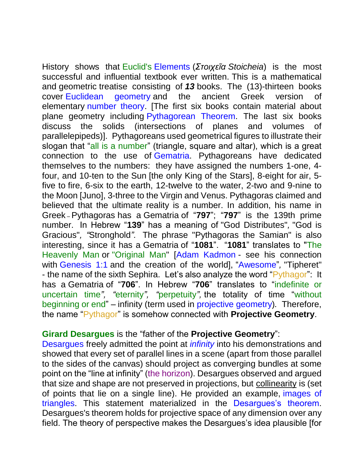History shows that Euclid's [Elements](https://upload.wikimedia.org/wikipedia/commons/thumb/c/cf/Title_page_of_Sir_Henry_Billingsley%27s_first_English_version_of_Euclid%27s_Elements%2C_1570_%28560x900%29.jpg/800px-Title_page_of_Sir_Henry_Billingsley%27s_first_English_version_of_Euclid%27s_Elements%2C_1570_%28560x900%29.jpg) (*Στοιχεῖα Stoicheia*) is the most successful and influential textbook ever written. This is a mathematical and geometric treatise consisting of *13* books. The (13)-thirteen books cover [Euclidean geometry](https://en.wikipedia.org/wiki/Euclidean_geometry) and the ancient Greek version of elementary [number theory.](https://en.wikipedia.org/wiki/Number_theory) [The first six books contain material about plane geometry including [Pythagorean Theorem.](https://en.wikipedia.org/wiki/Pythagorean_theorem) The last six books discuss the solids (intersections of planes and volumes of parallelepipeds)]. Pythagoreans used geometrical figures to illustrate their slogan that "all is a number" (triangle, square and altar), which is a great connection to the use of [Gematria.](https://matrix888.org/gematria/calculators/) Pythagoreans have dedicated themselves to the numbers: they have assigned the numbers 1-one, 4 four, and 10-ten to the Sun [the only King of the Stars], 8-eight for air, 5 five to fire, 6-six to the earth, 12-twelve to the water, 2-two and 9-nine to the Moon [Juno], 3-three to the Virgin and Venus. Pythagoras claimed and believed that the ultimate reality is a number. In addition, his name in Greek *–* Pythagoras has a Gematria of "**797**"; "**797**" is the 139th prime number. In Hebrew "**139**" has a meaning of "God Distributes"*,* "God is Gracious"*, "*Stronghold*".* The phrase "Pythagoras the Samian" is also interesting, since it has a Gematria of "**1081**". "**1081**" translates to "The Heavenly Man or "Original Man" [\[Adam Kadmon](https://en.wikipedia.org/wiki/Adam_Kadmon) - see his connection with [Genesis 1:1](https://matrix888.org/gematria/genesis-11/) and the creation of the world], ["Awesome"](https://www.matrix888.org/usr/files/pdf/Awesome_Gematria.pdf)*,* "Tipheret" - the name of the sixth Sephira. Let's also analyze the word "Pythagor": It has a Gematria of "**706**". In Hebrew "**706**" translates to "indefinite or uncertain time*", "*eternity*", "*perpetuity*",* the totality of time "without beginning or end" – infinity (term used in [projective](https://en.wikipedia.org/wiki/Projective_geometry) [geometry\)](https://en.wikipedia.org/wiki/Projective_geometry)*.* Therefore, the name "Pythagor" is somehow connected with **Projective Geometry**.

## **[Girard](http://www.britannica.com/biography/Girard-Desargues) [Desargues](http://www.britannica.com/biography/Girard-Desargues)** is the "father of the **Projective Geometry**":

[Desargues](http://www.britannica.com/biography/Girard-Desargues) freely admitted the point at *[infinity](http://www.britannica.com/topic/infinity-mathematics)* into his demonstrations and showed that every set of parallel lines in a scene (apart from those parallel to the sides of the canvas) should project as converging bundles at some point on the "line at infinity" (the horizon). Desargues observed and argued that size and shape are not preserved in projections, but collinearity is (set of points that lie on a single line). He provided an example, [images of](https://upload.wikimedia.org/wikipedia/commons/c/c8/Desargues_theorem_alt.svg)  [triangles.](https://upload.wikimedia.org/wikipedia/commons/c/c8/Desargues_theorem_alt.svg) This statement materialized in the [Desargues's theorem.](https://en.wikipedia.org/wiki/Desargues%27s_theorem) Desargues's theorem holds for projective space of any dimension over any field. The theory of perspective makes the Desargues's idea plausible [for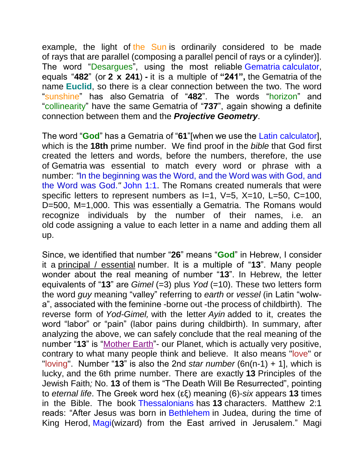example, the light of the Sun is ordinarily considered to be made of rays that are parallel (composing a parallel pencil of rays or a cylinder)]. The word "Desargues", using the most reliable [Gematria](https://matrix888.org/gematria/calculators/) [calculator,](https://matrix888.org/gematria/calculators/) equals "**482**" (or **2 x 241**) **-** it is a multiple of **"241",** the Gematria of the name **Euclid**, so there is a clear connection between the two. The word "sunshine" has also Gematria of "**482**". The words "horizon" and "collinearity" have the same Gematria of "**737**", again showing a definite connection between them and the *Projective Geometry*.

The word "**God**" has a Gematria of "**61**"[when we use the [Latin](https://matrix888.org/gematria/calculators/) calculator], which is the **18th** prime number. We find proof in the *bible* that God first created the letters and words, before the numbers, therefore, the use of Gematria was essential to match every word or phrase with a number: *"*In the beginning was the Word, and the Word was with God, and the Word was God.*"* [John 1:1.](http://av1611.com/verseclick/gobible.php?p=John_1.1) The Romans created numerals that were specific letters to represent numbers as  $I=1$ ,  $V=5$ ,  $X=10$ ,  $L=50$ ,  $C=100$ , D=500, M=1,000. This was essentially a Gematria. The Romans would recognize individuals by the number of their names, i.e. an old code assigning a value to each letter in a name and adding them all up.

Since, we identified that number "**26**" means "**God**" in Hebrew, I consider it a principal / essential number. It is a multiple of "**13**". Many people wonder about the real meaning of number "**13**". In Hebrew, the letter equivalents of "**13**" are *Gimel* (=3) plus *Yod* (=10). These two letters form the word *guy* meaning "valley" referring to *earth* or *vessel* (in Latin "wolwa", associated with the feminine -borne out -the process of childbirth). The reverse form of *Yod-Gimel,* with the letter *Ayin* added to it, creates the word "labor" or "pain" (labor pains during childbirth). In summary, after analyzing the above, we can safely conclude that the real meaning of the number "**13**" is "Mother Earth"- our Planet, which is actually very positive, contrary to what many people think and believe. It also means "love" or "loving". Number "**13**" is also the 2nd *star number* (6n(n-1) + 1], which is lucky, and the 6th prime number. There are exactly **13** Principles of the Jewish Faith*;* No. **13** of them is "The Death Will Be Resurrected", pointing to *eternal life*. The Greek word hex (εξ) meaning (6)-*six* appears **13** times in the Bible. The book [Thessalonians](http://biblehub.com/summary/1_thessalonians/1.htm) has **13** characters. Matthew 2:1 reads: "After Jesus was born in [Bethlehem](http://biblehub.com/greek/965.htm) in Judea, during the time of King Herod, [Magi\(](http://biblehub.com/greek/3097.htm)wizard) from the East arrived in Jerusalem." Magi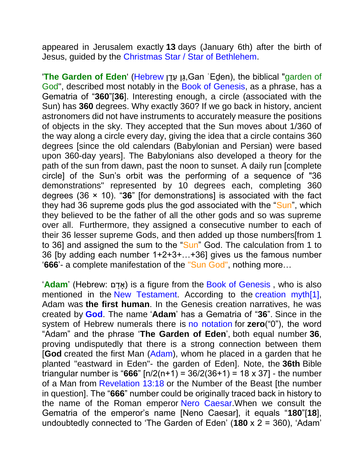appeared in Jerusalem exactly **13** days (January 6th) after the birth of Jesus, guided by the [Christmas Star / Star of Bethlehem.](https://en.wikipedia.org/wiki/Star_of_Bethlehem)

'**The Garden of Eden**' [\(Hebrew](https://en.wikipedia.org/wiki/Hebrew_language) ןגַּע ןגֶ ,Gan ʿEḏen), the biblical "garden of God", described most notably in the [Book of Genesis,](https://en.wikipedia.org/wiki/Book_of_Genesis) as a phrase, has a Gematria of "**360**"[**36**]. Interesting enough, a circle (associated with the Sun) has **360** degrees. Why exactly 360? If we go back in history, ancient astronomers did not have instruments to accurately measure the positions of objects in the sky. They accepted that the Sun moves about 1/360 of the way along a circle every day, giving the idea that a circle contains 360 degrees [since the old calendars (Babylonian and Persian) were based upon 360-day years]. The Babylonians also developed a theory for the path of the sun from dawn, past the noon to sunset. A daily run [complete circle] of the Sun's orbit was the performing of a sequence of "36 demonstrations" represented by 10 degrees each, completing 360 degrees (36 × 10). "**36**" [for demonstrations] is associated with the fact they had 36 supreme gods plus the god associated with the "Sun", which they believed to be the father of all the other gods and so was supreme over all. Furthermore, they assigned a consecutive number to each of their 36 lesser supreme Gods, and then added up those numbers[from 1 to 36] and assigned the sum to the "Sun" God. The calculation from 1 to 36 [by adding each number 1+2+3+…+36] gives us the famous number '**666**'- a complete manifestation of the "Sun God", nothing more…

'Adam' (Hebrew: אדם) is a figure from the [Book of Genesis](https://en.wikipedia.org/wiki/Book_of_Genesis), who is also mentioned in the [New Testament.](https://en.wikipedia.org/wiki/New_Testament) According to the [creation myth\[1\],](https://en.wikipedia.org/wiki/Creation_myth) Adam was **the first human**. In the Genesis creation narratives, he was created by **[God](https://en.wikipedia.org/wiki/God_in_Judaism)**. The name '**Adam**' has a Gematria of "**36**". Since in the system of Hebrew numerals there is [no notation](https://en.wikipedia.org/wiki/Hebrew_numerals) for **zero**("0"), the word "Adam" and the phrase '**The Garden of Eden**', both equal number **36**, proving undisputedly that there is a strong connection between them [**God** created the first Man [\(Adam\)](https://en.wikipedia.org/wiki/Adam), whom he placed in a garden that he planted "eastward in Eden"- the garden of Eden]. Note, the **36th** Bible triangular number is "**666**" [n/2(n+1) = 36/2(36+1) = 18 x 37] - the number of a Man from [Revelation 13:18](http://av1611.com/verseclick/gobible.php?p=Revelation_13.18) or the Number of the Beast [the number in question]. The "**666**" number could be originally traced back in history to the name of the Roman emperor [Nero Caesar.](https://en.wikipedia.org/wiki/Nero_Caesar)When we consult the Gematria of the emperor's name [Neno Caesar], it equals "**180**"[**18**], undoubtedly connected to 'The Garden of Eden' (**180** x 2 = 360), 'Adam'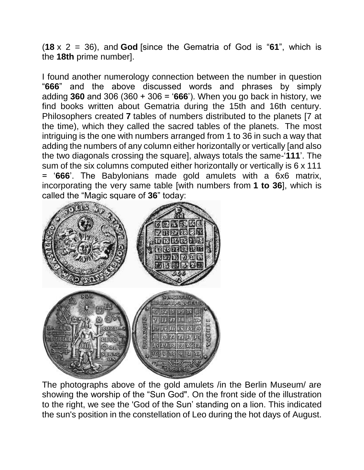(**18** x 2 = 36), and **God** [since the Gematria of God is "**61**", which is the **18th** prime number].

I found another numerology connection between the number in question "**666**" and the above discussed words and phrases by simply adding **360** and 306 (360 + 306 = '**666**'). When you go back in history, we find books written about Gematria during the 15th and 16th century. Philosophers created **7** tables of numbers distributed to the planets [7 at the time), which they called the sacred tables of the planets. The most intriguing is the one with numbers arranged from 1 to 36 in such a way that adding the numbers of any column either horizontally or vertically [and also the two diagonals crossing the square], always totals the same-'**111**'. The sum of the six columns computed either horizontally or vertically is 6 x 111 = '**666**'. The Babylonians made gold amulets with a 6x6 matrix, incorporating the very same table [with numbers from **1 to 36**], which is called the "Magic square of **36**" today:



The photographs above of the gold amulets /in the Berlin Museum/ are showing the worship of the "Sun God". On the front side of the illustration to the right, we see the 'God of the Sun' standing on a lion. This indicated the sun's position in the constellation of Leo during the hot days of August.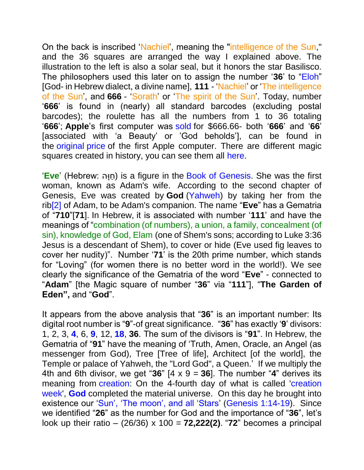On the back is inscribed 'Nachiel', meaning the "intelligence of the Sun," and the 36 squares are arranged the way I explained above. The illustration to the left is also a solar seal, but it honors the star Basilisco. The philosophers used this later on to assign the number '**36**' to ["Eloh"](http://www.catholic.org/encyclopedia/view.php?id=8320) [God- in Hebrew dialect, a divine name], **111** - 'Nachiel' or 'The intelligence of the Sun', and **666** - 'Sorath' or 'The spirit of the Sun'. Today, number '**666**' is found in (nearly) all standard barcodes (excluding postal barcodes); the roulette has all the numbers from 1 to 36 totaling '**666**'; **Apple**'s first computer was [sold](https://qph.ec.quoracdn.net/main-qimg-3c4887aa381730131ca2ca3548dfd8bd-c?convert_to_webp=true) for \$666.66- both '**666**' and '**66**' [associated with 'a Beauty' or 'God beholds'], can be found in the [original](https://qph.ec.quoracdn.net/main-qimg-3c4887aa381730131ca2ca3548dfd8bd-c?convert_to_webp=true) [price](https://qph.ec.quoracdn.net/main-qimg-3c4887aa381730131ca2ca3548dfd8bd-c?convert_to_webp=true) of the first Apple computer. There are different magic squares created in history, you can see them all [here.](https://en.wikipedia.org/wiki/Magic_square)

'**Eve**' (Hebrew: הודחֶ ( is a figure in the [Book of Genesis.](https://en.wikipedia.org/wiki/Book_of_Genesis) She was the first woman, known as Adam's wife. According to the second chapter of Genesis, Eve was created by **God** [\(Yahweh\)](https://en.wikipedia.org/wiki/Yahweh) by taking her from the ri[b\[2\]](https://en.wikipedia.org/wiki/Eve#cite_note-2) of Adam, to be Adam's companion. The name "**Eve**" has a Gematria of "**710**"[**71**]. In Hebrew, it is associated with number '**111**' and have the meanings of "combination (of numbers), a union, a family, concealment (of sin), knowledge of God, Elam (one of Shem's sons; according to Luke 3:36 Jesus is a descendant of Shem), to cover or hide (Eve used fig leaves to cover her nudity)". Number '**71**' is the 20th prime number, which stands for "Loving" (for women there is no better word in the world!). We see clearly the significance of the Gematria of the word "**Eve**" - connected to "**Adam**" [the Magic square of number "**36**" via "**111**"], "**The Garden of Eden",** and "**God**".

It appears from the above analysis that "**36**" is an important number: Its digital root number is "**9**"-of great significance. "**36**" has exactly '**9**' divisors: 1, 2, 3, **[4](http://www.numberempire.com/4)**, 6, **[9](http://www.numberempire.com/9)**, 12, **[18](http://www.numberempire.com/18)**, **36**. The sum of the divisors is "**91**". In Hebrew, the Gematria of "**91**" have the meaning of 'Truth, Amen, Oracle, an Angel (as messenger from God), Tree [Tree of life], Architect [of the world], the Temple or palace of Yahweh, the "Lord God", a Queen.' If we multiply the 4th and 6th divisor, we get "36"  $[4 \times 9 = 36]$ . The number "4" derives its meaning from [creation:](http://www.biblestudy.org/basicart/numbers-and-creation-of-the-universe.html) On the 4-fourth day of what is called ['creation](http://www.biblestudy.org/godsrest/what-is-first-thing-called-holy-in-bible.html)  [week'](http://www.biblestudy.org/godsrest/what-is-first-thing-called-holy-in-bible.html), **[God](http://www.biblestudy.org/beginner/facts-about-god.html)** completed the material universe. On this day he brought into existence our ['Sun', 'The moon', and all 'Stars'](http://www.biblestudy.org/bible-study-by-topic/astronomy-in-the-bible.html) [\(Genesis 1:14-19\)](http://biblehub.com/genesis/1-14.htm). Since we identified "**26**" as the number for God and the importance of "**36**", let's look up their ratio – (26/36) x 100 = **72,222(2)**. "**72**" becomes a principal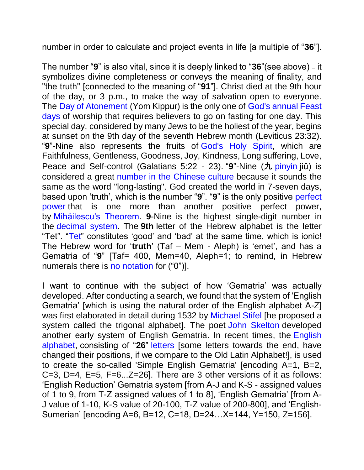number in order to calculate and project events in life [a multiple of "**36**"].

The number "**9**" is also vital, since it is deeply linked to "**36**"(see above) – it symbolizes divine completeness or conveys the meaning of finality, and "the truth" [connected to the meaning of "**91**"]. Christ died at the 9th hour of the day, or 3 p.m., to make the way of salvation open to everyone. The [Day of Atonement](http://www.biblestudy.org/bibleref/holy-days/day-of-atonement.html) (Yom Kippur) is the only one of [God's annual Feast](http://www.biblestudy.org/bibleref/holy-days/overview-of-holy-days.html)  [days](http://www.biblestudy.org/bibleref/holy-days/overview-of-holy-days.html) of worship that requires believers to go on fasting for one day. This special day, considered by many Jews to be the holiest of the year, begins at sunset on the 9th day of the seventh Hebrew month (Leviticus 23:32). "**9**"-Nine also represents the fruits of [God's Holy Spirit,](http://www.biblestudy.org/question/the-holy-spirit.html) which are Faithfulness, Gentleness, Goodness, Joy, Kindness, Long suffering, Love, Peace and Self-control (Galatians 5:22 - 23). "9"-Nine (九 [pinyin](https://en.wikipedia.org/wiki/Pinyin) jiǔ) is considered a great [number in the Chinese culture](https://en.wikipedia.org/wiki/Numbers_in_Chinese_culture) because it sounds the same as the word "long-lasting". God created the world in 7-seven days, based upon 'truth', which is the number "**9**". "**9**" is the only positive [perfect](https://en.wikipedia.org/wiki/Perfect_power)  [power](https://en.wikipedia.org/wiki/Perfect_power) that is one more than another positive perfect power, by [Mihăilescu's Theorem.](https://en.wikipedia.org/wiki/Catalan_conjecture) **9**-Nine is the highest single-digit number in the [decimal system.](https://en.wikipedia.org/wiki/Decimal) The **9th** letter of the Hebrew alphabet is the letter "Tet". ["Tet"](http://www.hebrew4christians.com/Grammar/Unit_One/Aleph-Bet/Tet/tet.html) constitutes 'good' and 'bad' at the same time, which is ionic! The Hebrew word for '**truth**' (Taf – Mem - Aleph) is 'emet', and has a Gematria of "**9**" [Taf= 400, Mem=40, Aleph=1; to remind, in Hebrew numerals there is [no notation](https://en.wikipedia.org/wiki/Hebrew_numerals) for ("0")].

I want to continue with the subject of how 'Gematria' was actually developed. After conducting a search, we found that the system of 'English Gematria' [which is using the natural order of the English alphabet A-Z] was first elaborated in detail during 1532 by [Michael Stifel](https://en.wikipedia.org/wiki/Michael_Stifel) [he proposed a system called the trigonal alphabet]. The poet [John Skelton](https://en.wikipedia.org/wiki/John_Skelton) developed another early system of English Gematria. In recent times, the [English](https://en.wikipedia.org/wiki/English_alphabet)  [alphabet,](https://en.wikipedia.org/wiki/English_alphabet) consisting of "**26**" [letters](https://en.wikipedia.org/wiki/Letter_(alphabet)) [some letters towards the end, have changed their positions, if we compare to the Old Latin Alphabet!], is used to create the so-called 'Simple English Gematria' [encoding A=1, B=2, C=3, D=4, E=5, F=6...Z=26]. There are 3 other versions of it as follows: 'English Reduction' Gematria system [from A-J and K-S - assigned values of 1 to 9, from T-Z assigned values of 1 to 8], 'English Gematria' [from A-J value of 1-10, K-S value of 20-100, T-Z value of 200-800], and 'English-Sumerian' [encoding A=6, B=12, C=18, D=24…X=144, Y=150, Z=156].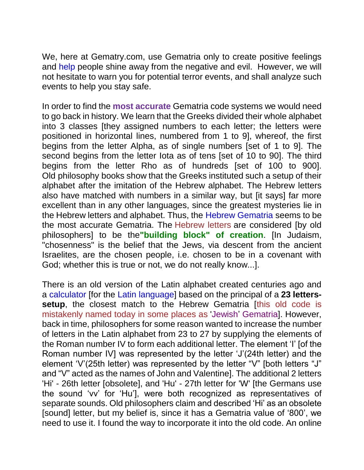We, here at Gematry.com, use Gematria only to create positive feelings and [help](https://matrix888.org/gematria/crystals-gematria/) people shine away from the negative and evil. However, we will not hesitate to warn you for potential terror events, and shall analyze such events to help you stay safe.

In order to find the **most accurate** Gematria code systems we would need to go back in history. We learn that the Greeks divided their whole alphabet into 3 classes [they assigned numbers to each letter; the letters were positioned in horizontal lines, numbered from 1 to 9], whereof, the first begins from the letter Alpha, as of single numbers [set of 1 to 9]. The second begins from the letter Iota as of tens [set of 10 to 90]. The third begins from the letter Rho as of hundreds [set of 100 to 900]. Old philosophy books show that the Greeks instituted such a setup of their alphabet after the imitation of the Hebrew alphabet. The Hebrew letters also have matched with numbers in a similar way, but [it says] far more excellent than in any other languages, since the greatest mysteries lie in the Hebrew letters and alphabet. Thus, the [Hebrew](https://youtu.be/DFFt643QLZM) [Gematria](https://youtu.be/DFFt643QLZM) seems to be the most accurate Gematria. The Hebrew letters are considered [by old philosophers] to be the**"building block" of creation**. [In Judaism, "chosenness" is the belief that the Jews, via descent from the ancient Israelites, are the chosen people, i.e. chosen to be in a covenant with God; whether this is true or not, we do not really know...].

There is an old version of the Latin alphabet created centuries ago and a [calculator](https://matrix888.org/gematria/calculators/) [for the [Latin](https://en.wikipedia.org/wiki/Latin) [language\]](https://en.wikipedia.org/wiki/Latin) based on the principal of a **23 letterssetup**, the closest match to the Hebrew Gematria *[this old code is* mistakenly named today in some places as 'Jewish' Gematria]. However, back in time, philosophers for some reason wanted to increase the number of letters in the Latin alphabet from 23 to 27 by supplying the elements of the Roman number IV to form each additional letter. The element 'I' [of the Roman number IV] was represented by the letter 'J'(24th letter) and the element 'V'(25th letter) was represented by the letter "V" [both letters "J" and "V" acted as the names of John and Valentine]. The additional 2 letters 'Hi' - 26th letter [obsolete], and 'Hu' - 27th letter for 'W' [the Germans use the sound 'vv' for 'Hu'], were both recognized as representatives of separate sounds. Old philosophers claim and described 'Hi' as an obsolete [sound] letter, but my belief is, since it has a Gematria value of '800', we need to use it. I found the way to incorporate it into the old code. An online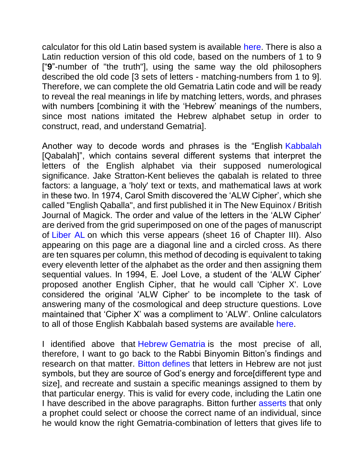calculator for this old Latin based system is available [here.](https://matrix888.org/gematria/calculators/) There is also a Latin reduction version of this old code, based on the numbers of 1 to 9 ["**9**"-number of "the truth"], using the same way the old philosophers described the old code [3 sets of letters - matching-numbers from 1 to 9]. Therefore, we can complete the old Gematria Latin code and will be ready to reveal the real meanings in life by matching letters, words, and phrases with numbers [combining it with the 'Hebrew' meanings of the numbers, since most nations imitated the Hebrew alphabet setup in order to construct, read, and understand Gematria].

Another way to decode words and phrases is the "English [Kabbalah](https://en.wikipedia.org/wiki/Kabbalah) [Qabalah]", which contains several different systems that interpret the letters of the English alphabet via their supposed numerological significance. Jake Stratton-Kent believes the qabalah is related to three factors: a language, a 'holy' text or texts, and mathematical laws at work in these two. In 1974, Carol Smith discovered the 'ALW Cipher', which she called "English Qaballa", and first published it in The New Equinox / British Journal of Magick. The order and value of the letters in the 'ALW Cipher' are derived from the grid superimposed on one of the pages of manuscript of [Liber AL](https://en.wikipedia.org/wiki/Liber_AL) on which this verse appears (sheet 16 of Chapter III). Also appearing on this page are a diagonal line and a circled cross. As there are ten squares per column, this method of decoding is equivalent to taking every eleventh letter of the alphabet as the order and then assigning them sequential values. In 1994, E. Joel Love, a student of the 'ALW Cipher' proposed another English Cipher, that he would call 'Cipher X'. Love considered the original 'ALW Cipher' to be incomplete to the task of answering many of the cosmological and deep structure questions. Love maintained that 'Cipher X' was a compliment to 'ALW'. Online calculators to all of those English Kabbalah based systems are available [here.](https://matrix888.org/gematria/calculators/)

I identified above that [Hebrew](http://www.hebrew4christians.com/Grammar/Unit_Eight/Hebrew_Gematria/hebrew_gematria.html) [Gematria](http://www.hebrew4christians.com/Grammar/Unit_Eight/Hebrew_Gematria/hebrew_gematria.html) is the most precise of all, therefore, I want to go back to the Rabbi Binyomin Bitton's findings and research on that matter. [Bitton](http://www.youtube.com/watch?v=Shm4efnZp6A&t=3m06s) [defines](http://www.youtube.com/watch?v=Shm4efnZp6A&t=3m06s) that letters in Hebrew are not just symbols, but they are source of God's energy and force[different type and size], and recreate and sustain a specific meanings assigned to them by that particular energy. This is valid for every code, including the Latin one I have described in the above paragraphs. Bitton further [asserts](http://www.youtube.com/watch?v=Shm4efnZp6A&t=9m29s) that only a prophet could select or choose the correct name of an individual, since he would know the right Gematria-combination of letters that gives life to